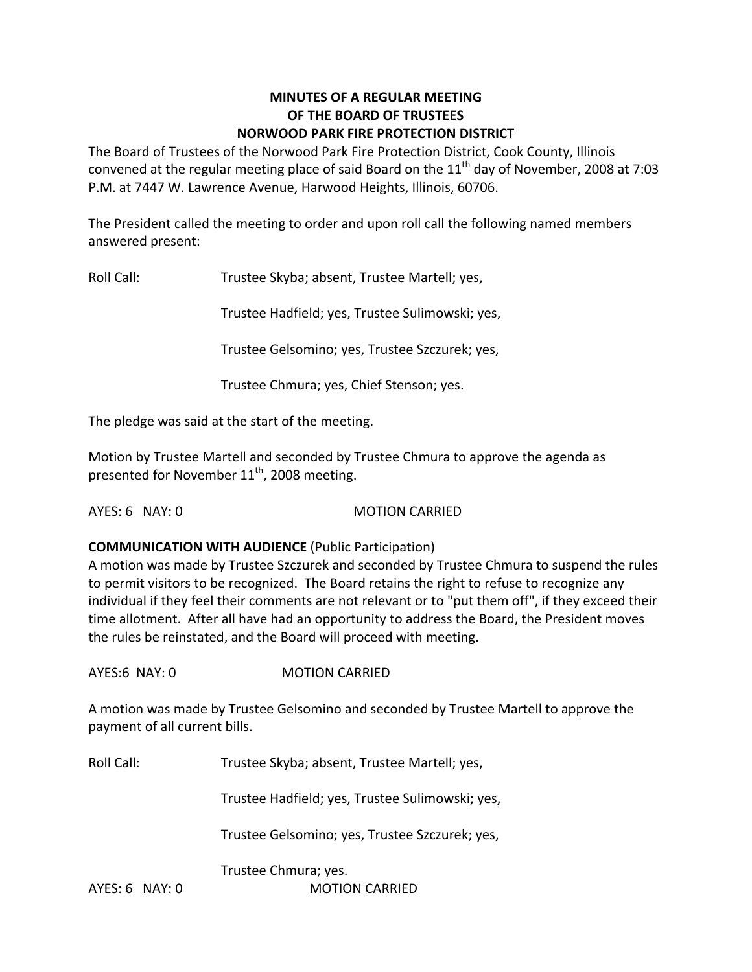#### **MINUTES OF A REGULAR MEETING OF THE BOARD OF TRUSTEES NORWOOD PARK FIRE PROTECTION DISTRICT**

The Board of Trustees of the Norwood Park Fire Protection District, Cook County, Illinois convened at the regular meeting place of said Board on the  $11<sup>th</sup>$  day of November, 2008 at 7:03 P.M. at 7447 W. Lawrence Avenue, Harwood Heights, Illinois, 60706.

The President called the meeting to order and upon roll call the following named members answered present:

Roll Call: Trustee Skyba; absent, Trustee Martell; yes,

Trustee Hadfield; yes, Trustee Sulimowski; yes,

Trustee Gelsomino; yes, Trustee Szczurek; yes,

Trustee Chmura; yes, Chief Stenson; yes.

The pledge was said at the start of the meeting.

Motion by Trustee Martell and seconded by Trustee Chmura to approve the agenda as presented for November  $11^{\text{th}}$ , 2008 meeting.

AYES: 6 NAY: 0 MOTION CARRIED

#### **COMMUNICATION WITH AUDIENCE** (Public Participation)

A motion was made by Trustee Szczurek and seconded by Trustee Chmura to suspend the rules to permit visitors to be recognized. The Board retains the right to refuse to recognize any individual if they feel their comments are not relevant or to "put them off", if they exceed their time allotment. After all have had an opportunity to address the Board, the President moves the rules be reinstated, and the Board will proceed with meeting.

AYES:6 NAY: 0 MOTION CARRIED

A motion was made by Trustee Gelsomino and seconded by Trustee Martell to approve the payment of all current bills.

Roll Call: Trustee Skyba; absent, Trustee Martell; yes,

Trustee Hadfield; yes, Trustee Sulimowski; yes,

Trustee Gelsomino; yes, Trustee Szczurek; yes,

Trustee Chmura; yes.

AYES: 6 NAY: 0 **MOTION CARRIED**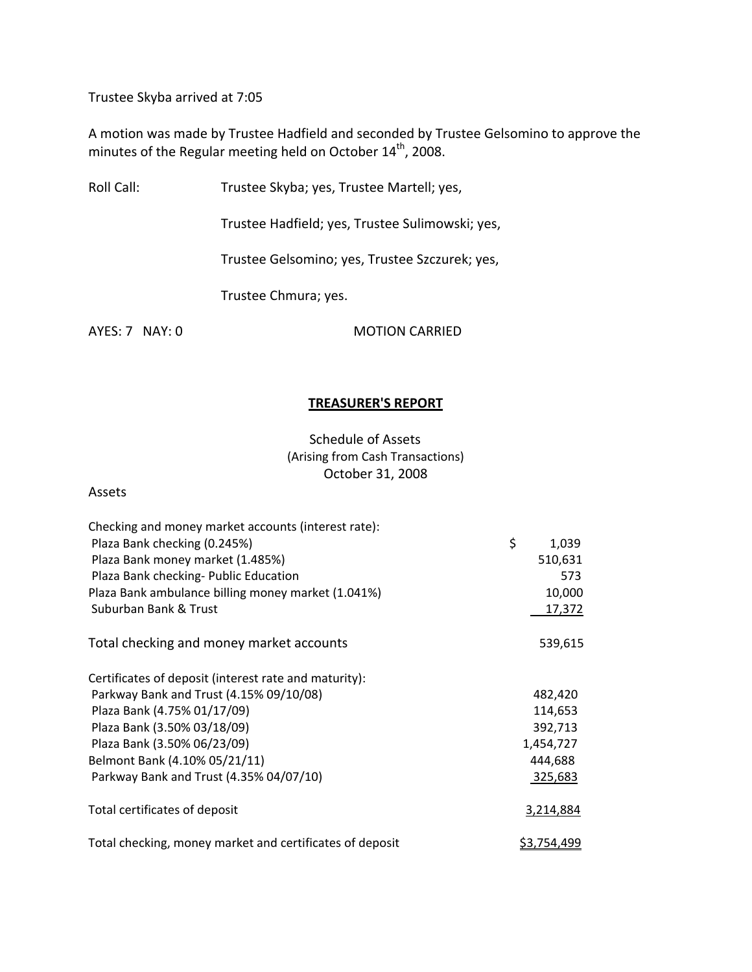Trustee Skyba arrived at 7:05

A motion was made by Trustee Hadfield and seconded by Trustee Gelsomino to approve the minutes of the Regular meeting held on October 14<sup>th</sup>, 2008.

Roll Call: Trustee Skyba; yes, Trustee Martell; yes,

Trustee Hadfield; yes, Trustee Sulimowski; yes,

Trustee Gelsomino; yes, Trustee Szczurek; yes,

Trustee Chmura; yes.

AYES: 7 NAY: 0 MOTION CARRIED

#### **TREASURER'S REPORT**

Schedule of Assets (Arising from Cash Transactions) October 31, 2008

Assets

| Checking and money market accounts (interest rate):      |             |
|----------------------------------------------------------|-------------|
| Plaza Bank checking (0.245%)                             | \$<br>1,039 |
| Plaza Bank money market (1.485%)                         | 510,631     |
| Plaza Bank checking- Public Education                    | 573         |
| Plaza Bank ambulance billing money market (1.041%)       | 10,000      |
| Suburban Bank & Trust                                    | 17,372      |
| Total checking and money market accounts                 | 539,615     |
| Certificates of deposit (interest rate and maturity):    |             |
| Parkway Bank and Trust (4.15% 09/10/08)                  | 482,420     |
| Plaza Bank (4.75% 01/17/09)                              | 114,653     |
| Plaza Bank (3.50% 03/18/09)                              | 392,713     |
| Plaza Bank (3.50% 06/23/09)                              | 1,454,727   |
| Belmont Bank (4.10% 05/21/11)                            | 444,688     |
| Parkway Bank and Trust (4.35% 04/07/10)                  | 325,683     |
| Total certificates of deposit                            | 3,214,884   |
| Total checking, money market and certificates of deposit | \$3,754,499 |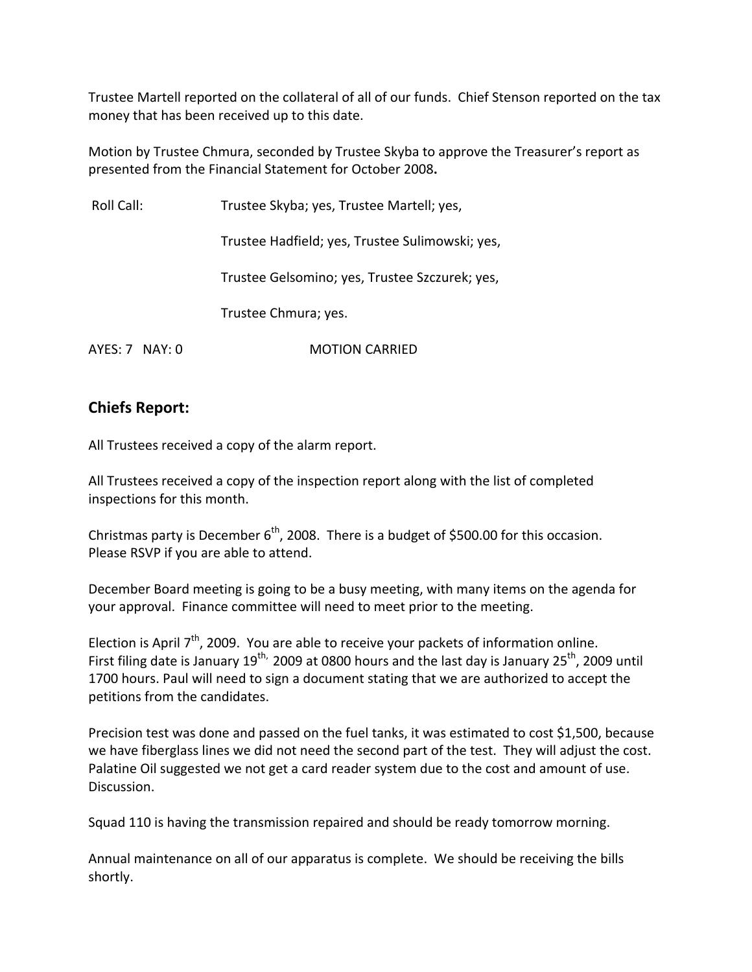Trustee Martell reported on the collateral of all of our funds. Chief Stenson reported on the tax money that has been received up to this date.

Motion by Trustee Chmura, seconded by Trustee Skyba to approve the Treasurer's report as presented from the Financial Statement for October 2008**.**

| Roll Call:         | Trustee Skyba; yes, Trustee Martell; yes,       |
|--------------------|-------------------------------------------------|
|                    | Trustee Hadfield; yes, Trustee Sulimowski; yes, |
|                    | Trustee Gelsomino; yes, Trustee Szczurek; yes,  |
|                    | Trustee Chmura; yes.                            |
| $AYES: 7$ NAY: $0$ | <b>MOTION CARRIED</b>                           |

# **Chiefs Report:**

All Trustees received a copy of the alarm report.

All Trustees received a copy of the inspection report along with the list of completed inspections for this month.

Christmas party is December  $6<sup>th</sup>$ , 2008. There is a budget of \$500.00 for this occasion. Please RSVP if you are able to attend.

December Board meeting is going to be a busy meeting, with many items on the agenda for your approval. Finance committee will need to meet prior to the meeting.

Election is April 7<sup>th</sup>, 2009. You are able to receive your packets of information online. First filing date is January 19<sup>th,</sup> 2009 at 0800 hours and the last day is January 25<sup>th</sup>, 2009 until 1700 hours. Paul will need to sign a document stating that we are authorized to accept the petitions from the candidates.

Precision test was done and passed on the fuel tanks, it was estimated to cost \$1,500, because we have fiberglass lines we did not need the second part of the test. They will adjust the cost. Palatine Oil suggested we not get a card reader system due to the cost and amount of use. Discussion.

Squad 110 is having the transmission repaired and should be ready tomorrow morning.

Annual maintenance on all of our apparatus is complete. We should be receiving the bills shortly.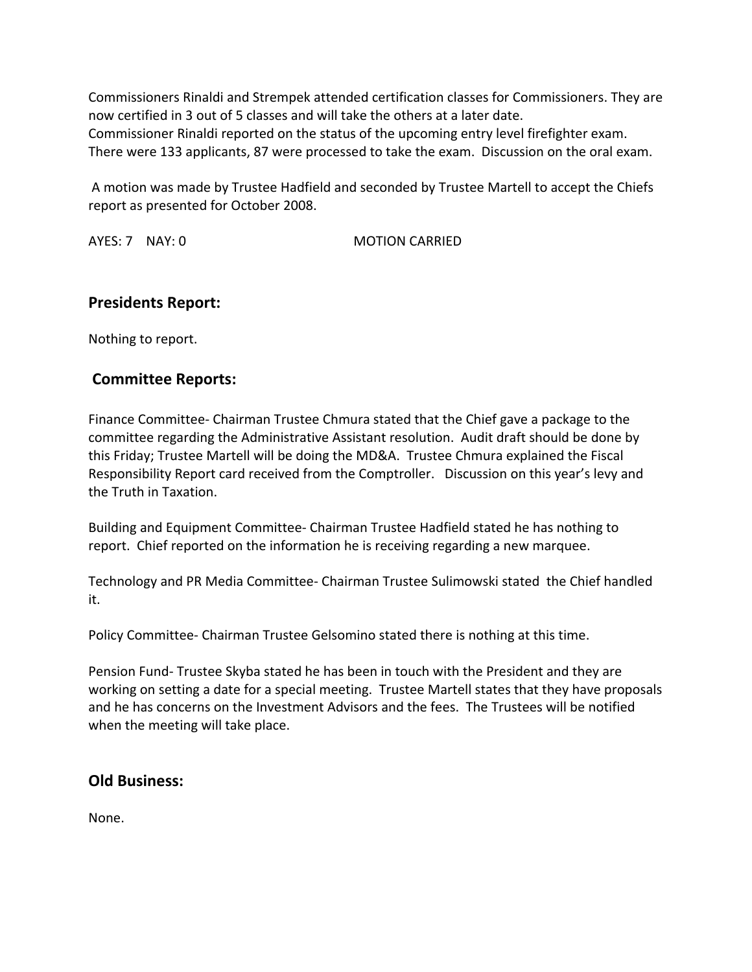Commissioners Rinaldi and Strempek attended certification classes for Commissioners. They are now certified in 3 out of 5 classes and will take the others at a later date. Commissioner Rinaldi reported on the status of the upcoming entry level firefighter exam. There were 133 applicants, 87 were processed to take the exam. Discussion on the oral exam.

A motion was made by Trustee Hadfield and seconded by Trustee Martell to accept the Chiefs report as presented for October 2008.

AYES: 7 NAY: 0 **MOTION CARRIED** 

# **Presidents Report:**

Nothing to report.

# **Committee Reports:**

Finance Committee‐ Chairman Trustee Chmura stated that the Chief gave a package to the committee regarding the Administrative Assistant resolution. Audit draft should be done by this Friday; Trustee Martell will be doing the MD&A. Trustee Chmura explained the Fiscal Responsibility Report card received from the Comptroller. Discussion on this year's levy and the Truth in Taxation.

Building and Equipment Committee‐ Chairman Trustee Hadfield stated he has nothing to report. Chief reported on the information he is receiving regarding a new marquee.

Technology and PR Media Committee‐ Chairman Trustee Sulimowski stated the Chief handled it.

Policy Committee‐ Chairman Trustee Gelsomino stated there is nothing at this time.

Pension Fund‐ Trustee Skyba stated he has been in touch with the President and they are working on setting a date for a special meeting. Trustee Martell states that they have proposals and he has concerns on the Investment Advisors and the fees. The Trustees will be notified when the meeting will take place.

### **Old Business:**

None.